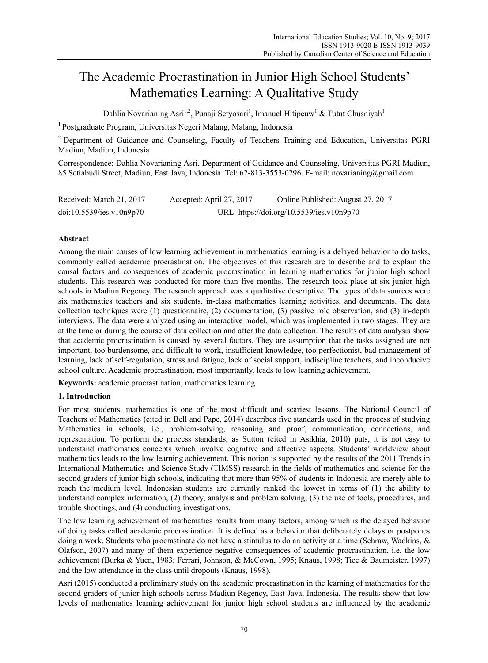# The Academic Procrastination in Junior High School Students' Mathematics Learning: A Qualitative Study

Dahlia Novarianing Asri<sup>1,2</sup>, Punaji Setyosari<sup>1</sup>, Imanuel Hitipeuw<sup>1</sup> & Tutut Chusniyah<sup>1</sup>

1 Postgraduate Program, Universitas Negeri Malang, Malang, Indonesia

<sup>2</sup> Denartment of Guidance and Counseling, Faculty of Teachers Training and Education, Universitas PGRI Madiun, Madiun, Indonesia

Correspondence: Dahlia Novarianing Asri, Department of Guidance and Counseling, Universitas PGRI Madiun, 85 Setiabudi Street, Madiun, East Java, Indonesia. Tel: 62-813-3553-0296. E-mail: novarianing@gmail.com

| Received: March 21, 2017 | Accepted: April 27, 2017                  | Online Published: August 27, 2017 |
|--------------------------|-------------------------------------------|-----------------------------------|
| doi:10.5539/ies.v10n9p70 | URL: https://doi.org/10.5539/ies.v10n9p70 |                                   |

## **Abstract**

Among the main causes of low learning achievement in mathematics learning is a delayed behavior to do tasks, commonly called academic procrastination. The objectives of this research are to describe and to explain the causal factors and consequences of academic procrastination in learning mathematics for junior high school students. This research was conducted for more than five months. The research took place at six junior high schools in Madiun Regency. The research approach was a qualitative descriptive. The types of data sources were six mathematics teachers and six students, in-class mathematics learning activities, and documents. The data collection techniques were (1) questionnaire, (2) documentation, (3) passive role observation, and (3) in-depth interviews. The data were analyzed using an interactive model, which was implemented in two stages. They are at the time or during the course of data collection and after the data collection. The results of data analysis show that academic procrastination is caused by several factors. They are assumption that the tasks assigned are not important, too burdensome, and difficult to work, insufficient knowledge, too perfectionist, bad management of learning, lack of self-regulation, stress and fatigue, lack of social support, indiscipline teachers, and inconducive school culture. Academic procrastination, most importantly, leads to low learning achievement.

**Keywords:** academic procrastination, mathematics learning

# **1. Introduction**

For most students, mathematics is one of the most difficult and scariest lessons. The National Council of Teachers of Mathematics (cited in Bell and Pape, 2014) describes five standards used in the process of studying Mathematics in schools, i.e., problem-solving, reasoning and proof, communication, connections, and representation. To perform the process standards, as Sutton (cited in Asikhia, 2010) puts, it is not easy to understand mathematics concepts which involve cognitive and affective aspects. Students' worldview about mathematics leads to the low learning achievement. This notion is supported by the results of the 2011 Trends in International Mathematics and Science Study (TIMSS) research in the fields of mathematics and science for the second graders of junior high schools, indicating that more than 95% of students in Indonesia are merely able to reach the medium level. Indonesian students are currently ranked the lowest in terms of (1) the ability to understand complex information, (2) theory, analysis and problem solving, (3) the use of tools, procedures, and trouble shootings, and (4) conducting investigations.

The low learning achievement of mathematics results from many factors, among which is the delayed behavior of doing tasks called academic procrastination. It is defined as a behavior that deliberately delays or postpones doing a work. Students who procrastinate do not have a stimulus to do an activity at a time (Schraw, Wadkins, & Olafson, 2007) and many of them experience negative consequences of academic procrastination, i.e. the low achievement (Burka & Yuen, 1983; Ferrari, Johnson, & McCown, 1995; Knaus, 1998; Tice & Baumeister, 1997) and the low attendance in the class until dropouts (Knaus, 1998).

Asri (2015) conducted a preliminary study on the academic procrastination in the learning of mathematics for the second graders of junior high schools across Madiun Regency, East Java, Indonesia. The results show that low levels of mathematics learning achievement for junior high school students are influenced by the academic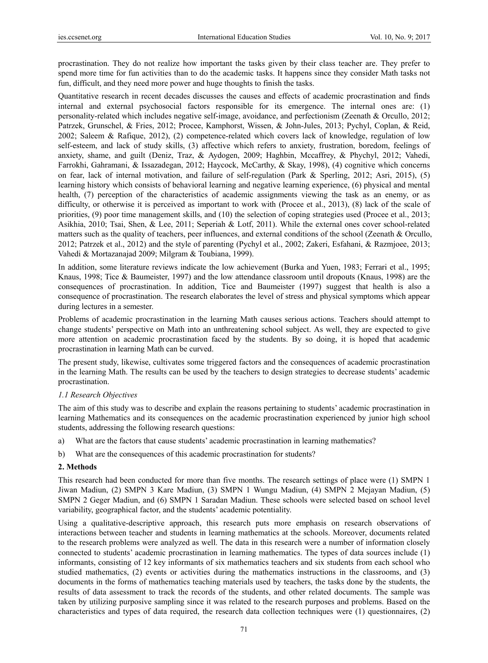procrastination. They do not realize how important the tasks given by their class teacher are. They prefer to spend more time for fun activities than to do the academic tasks. It happens since they consider Math tasks not fun, difficult, and they need more power and huge thoughts to finish the tasks.

Quantitative research in recent decades discusses the causes and effects of academic procrastination and finds internal and external psychosocial factors responsible for its emergence. The internal ones are: (1) personality-related which includes negative self-image, avoidance, and perfectionism (Zeenath & Orcullo, 2012; Patrzek, Grunschel, & Fries, 2012; Procee, Kamphorst, Wissen, & John-Jules, 2013; Pychyl, Coplan, & Reid, 2002; Saleem & Rafique, 2012), (2) competence-related which covers lack of knowledge, regulation of low self-esteem, and lack of study skills, (3) affective which refers to anxiety, frustration, boredom, feelings of anxiety, shame, and guilt (Deniz, Traz, & Aydogen, 2009; Haghbin, Mccaffrey, & Phychyl, 2012; Vahedi, Farrokhi, Gahramani, & Issazadegan, 2012; Haycock, McCarthy, & Skay, 1998), (4) cognitive which concerns on fear, lack of internal motivation, and failure of self-regulation (Park & Sperling, 2012; Asri, 2015), (5) learning history which consists of behavioral learning and negative learning experience, (6) physical and mental health, (7) perception of the characteristics of academic assignments viewing the task as an enemy, or as difficulty, or otherwise it is perceived as important to work with (Procee et al., 2013), (8) lack of the scale of priorities, (9) poor time management skills, and (10) the selection of coping strategies used (Procee et al., 2013; Asikhia, 2010; Tsai, Shen, & Lee, 2011; Seperiah & Lotf, 2011). While the external ones cover school-related matters such as the quality of teachers, peer influences, and external conditions of the school (Zeenath & Orcullo, 2012; Patrzek et al., 2012) and the style of parenting (Pychyl et al., 2002; Zakeri, Esfahani, & Razmjoee, 2013; Vahedi & Mortazanajad 2009; Milgram & Toubiana, 1999).

In addition, some literature reviews indicate the low achievement (Burka and Yuen, 1983; Ferrari et al., 1995; Knaus, 1998; Tice & Baumeister, 1997) and the low attendance classroom until dropouts (Knaus, 1998) are the consequences of procrastination. In addition, Tice and Baumeister (1997) suggest that health is also a consequence of procrastination. The research elaborates the level of stress and physical symptoms which appear during lectures in a semester.

Problems of academic procrastination in the learning Math causes serious actions. Teachers should attempt to change students' perspective on Math into an unthreatening school subject. As well, they are expected to give more attention on academic procrastination faced by the students. By so doing, it is hoped that academic procrastination in learning Math can be curved.

The present study, likewise, cultivates some triggered factors and the consequences of academic procrastination in the learning Math. The results can be used by the teachers to design strategies to decrease students' academic procrastination.

#### *1.1 Research Objectives*

The aim of this study was to describe and explain the reasons pertaining to students' academic procrastination in learning Mathematics and its consequences on the academic procrastination experienced by junior high school students, addressing the following research questions:

- a) What are the factors that cause students' academic procrastination in learning mathematics?
- b) What are the consequences of this academic procrastination for students?

#### **2. Methods**

This research had been conducted for more than five months. The research settings of place were (1) SMPN 1 Jiwan Madiun, (2) SMPN 3 Kare Madiun, (3) SMPN 1 Wungu Madiun, (4) SMPN 2 Mejayan Madiun, (5) SMPN 2 Geger Madiun, and (6) SMPN 1 Saradan Madiun. These schools were selected based on school level variability, geographical factor, and the students' academic potentiality.

Using a qualitative-descriptive approach, this research puts more emphasis on research observations of interactions between teacher and students in learning mathematics at the schools. Moreover, documents related to the research problems were analyzed as well. The data in this research were a number of information closely connected to students' academic procrastination in learning mathematics. The types of data sources include (1) informants, consisting of 12 key informants of six mathematics teachers and six students from each school who studied mathematics, (2) events or activities during the mathematics instructions in the classrooms, and (3) documents in the forms of mathematics teaching materials used by teachers, the tasks done by the students, the results of data assessment to track the records of the students, and other related documents. The sample was taken by utilizing purposive sampling since it was related to the research purposes and problems. Based on the characteristics and types of data required, the research data collection techniques were (1) questionnaires, (2)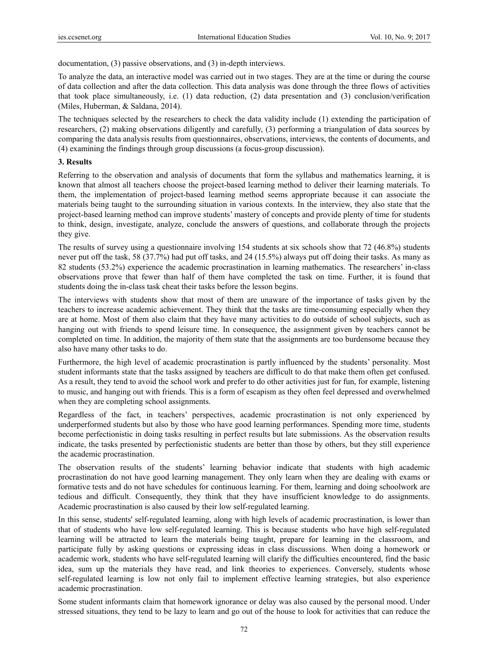documentation, (3) passive observations, and (3) in-depth interviews.

To analyze the data, an interactive model was carried out in two stages. They are at the time or during the course of data collection and after the data collection. This data analysis was done through the three flows of activities that took place simultaneously, i.e. (1) data reduction, (2) data presentation and (3) conclusion/verification (Miles, Huberman, & Saldana, 2014).

The techniques selected by the researchers to check the data validity include (1) extending the participation of researchers, (2) making observations diligently and carefully, (3) performing a triangulation of data sources by comparing the data analysis results from questionnaires, observations, interviews, the contents of documents, and (4) examining the findings through group discussions (a focus-group discussion).

## **3. Results**

Referring to the observation and analysis of documents that form the syllabus and mathematics learning, it is known that almost all teachers choose the project-based learning method to deliver their learning materials. To them, the implementation of project-based learning method seems appropriate because it can associate the materials being taught to the surrounding situation in various contexts. In the interview, they also state that the project-based learning method can improve students' mastery of concepts and provide plenty of time for students to think, design, investigate, analyze, conclude the answers of questions, and collaborate through the projects they give.

The results of survey using a questionnaire involving 154 students at six schools show that 72 (46.8%) students never put off the task, 58 (37.7%) had put off tasks, and 24 (15.5%) always put off doing their tasks. As many as 82 students (53.2%) experience the academic procrastination in learning mathematics. The researchers' in-class observations prove that fewer than half of them have completed the task on time. Further, it is found that students doing the in-class task cheat their tasks before the lesson begins.

The interviews with students show that most of them are unaware of the importance of tasks given by the teachers to increase academic achievement. They think that the tasks are time-consuming especially when they are at home. Most of them also claim that they have many activities to do outside of school subjects, such as hanging out with friends to spend leisure time. In consequence, the assignment given by teachers cannot be completed on time. In addition, the majority of them state that the assignments are too burdensome because they also have many other tasks to do.

Furthermore, the high level of academic procrastination is partly influenced by the students' personality. Most student informants state that the tasks assigned by teachers are difficult to do that make them often get confused. As a result, they tend to avoid the school work and prefer to do other activities just for fun, for example, listening to music, and hanging out with friends. This is a form of escapism as they often feel depressed and overwhelmed when they are completing school assignments.

Regardless of the fact, in teachers' perspectives, academic procrastination is not only experienced by underperformed students but also by those who have good learning performances. Spending more time, students become perfectionistic in doing tasks resulting in perfect results but late submissions. As the observation results indicate, the tasks presented by perfectionistic students are better than those by others, but they still experience the academic procrastination.

The observation results of the students' learning behavior indicate that students with high academic procrastination do not have good learning management. They only learn when they are dealing with exams or formative tests and do not have schedules for continuous learning. For them, learning and doing schoolwork are tedious and difficult. Consequently, they think that they have insufficient knowledge to do assignments. Academic procrastination is also caused by their low self-regulated learning.

In this sense, students' self-regulated learning, along with high levels of academic procrastination, is lower than that of students who have low self-regulated learning. This is because students who have high self-regulated learning will be attracted to learn the materials being taught, prepare for learning in the classroom, and participate fully by asking questions or expressing ideas in class discussions. When doing a homework or academic work, students who have self-regulated learning will clarify the difficulties encountered, find the basic idea, sum up the materials they have read, and link theories to experiences. Conversely, students whose self-regulated learning is low not only fail to implement effective learning strategies, but also experience academic procrastination.

Some student informants claim that homework ignorance or delay was also caused by the personal mood. Under stressed situations, they tend to be lazy to learn and go out of the house to look for activities that can reduce the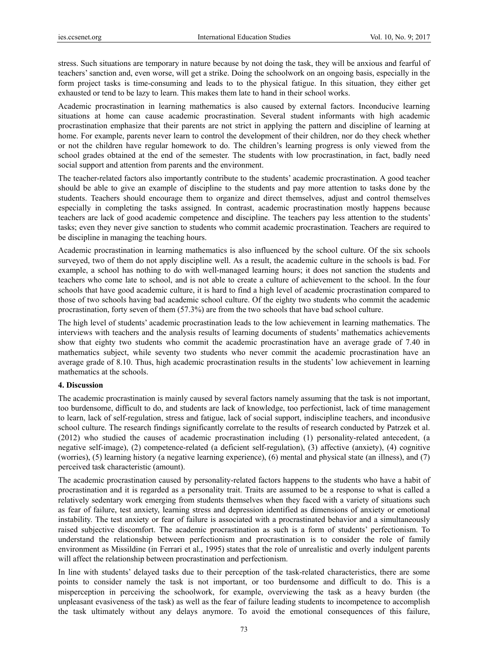stress. Such situations are temporary in nature because by not doing the task, they will be anxious and fearful of teachers' sanction and, even worse, will get a strike. Doing the schoolwork on an ongoing basis, especially in the form project tasks is time-consuming and leads to to the physical fatigue. In this situation, they either get exhausted or tend to be lazy to learn. This makes them late to hand in their school works.

Academic procrastination in learning mathematics is also caused by external factors. Inconducive learning situations at home can cause academic procrastination. Several student informants with high academic procrastination emphasize that their parents are not strict in applying the pattern and discipline of learning at home. For example, parents never learn to control the development of their children, nor do they check whether or not the children have regular homework to do. The children's learning progress is only viewed from the school grades obtained at the end of the semester. The students with low procrastination, in fact, badly need social support and attention from parents and the environment.

The teacher-related factors also importantly contribute to the students' academic procrastination. A good teacher should be able to give an example of discipline to the students and pay more attention to tasks done by the students. Teachers should encourage them to organize and direct themselves, adjust and control themselves especially in completing the tasks assigned. In contrast, academic procrastination mostly happens because teachers are lack of good academic competence and discipline. The teachers pay less attention to the students' tasks; even they never give sanction to students who commit academic procrastination. Teachers are required to be discipline in managing the teaching hours.

Academic procrastination in learning mathematics is also influenced by the school culture. Of the six schools surveyed, two of them do not apply discipline well. As a result, the academic culture in the schools is bad. For example, a school has nothing to do with well-managed learning hours; it does not sanction the students and teachers who come late to school, and is not able to create a culture of achievement to the school. In the four schools that have good academic culture, it is hard to find a high level of academic procrastination compared to those of two schools having bad academic school culture. Of the eighty two students who commit the academic procrastination, forty seven of them (57.3%) are from the two schools that have bad school culture.

The high level of students' academic procrastination leads to the low achievement in learning mathematics. The interviews with teachers and the analysis results of learning documents of students' mathematics achievements show that eighty two students who commit the academic procrastination have an average grade of 7.40 in mathematics subject, while seventy two students who never commit the academic procrastination have an average grade of 8.10. Thus, high academic procrastination results in the students' low achievement in learning mathematics at the schools.

## **4. Discussion**

The academic procrastination is mainly caused by several factors namely assuming that the task is not important, too burdensome, difficult to do, and students are lack of knowledge, too perfectionist, lack of time management to learn, lack of self-regulation, stress and fatigue, lack of social support, indiscipline teachers, and incondusive school culture. The research findings significantly correlate to the results of research conducted by Patrzek et al. (2012) who studied the causes of academic procrastination including (1) personality-related antecedent, (a negative self-image), (2) competence-related (a deficient self-regulation), (3) affective (anxiety), (4) cognitive (worries), (5) learning history (a negative learning experience), (6) mental and physical state (an illness), and (7) perceived task characteristic (amount).

The academic procrastination caused by personality-related factors happens to the students who have a habit of procrastination and it is regarded as a personality trait. Traits are assumed to be a response to what is called a relatively sedentary work emerging from students themselves when they faced with a variety of situations such as fear of failure, test anxiety, learning stress and depression identified as dimensions of anxiety or emotional instability. The test anxiety or fear of failure is associated with a procrastinated behavior and a simultaneously raised subjective discomfort. The academic procrastination as such is a form of students' perfectionism. To understand the relationship between perfectionism and procrastination is to consider the role of family environment as Missildine (in Ferrari et al., 1995) states that the role of unrealistic and overly indulgent parents will affect the relationship between procrastination and perfectionism.

In line with students' delayed tasks due to their perception of the task-related characteristics, there are some points to consider namely the task is not important, or too burdensome and difficult to do. This is a misperception in perceiving the schoolwork, for example, overviewing the task as a heavy burden (the unpleasant evasiveness of the task) as well as the fear of failure leading students to incompetence to accomplish the task ultimately without any delays anymore. To avoid the emotional consequences of this failure,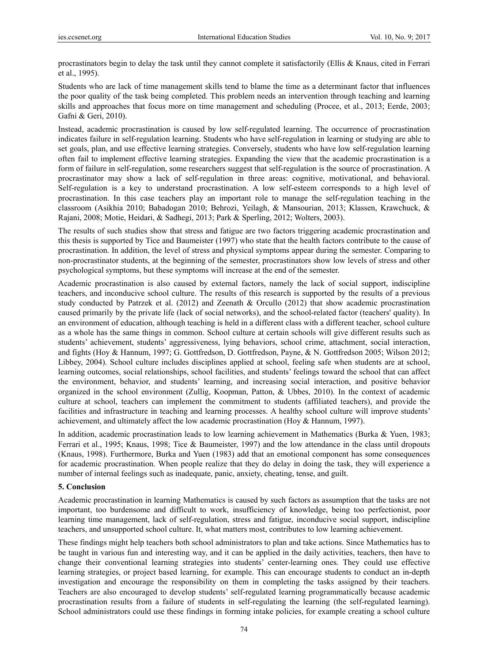procrastinators begin to delay the task until they cannot complete it satisfactorily (Ellis & Knaus, cited in Ferrari et al., 1995).

Students who are lack of time management skills tend to blame the time as a determinant factor that influences the poor quality of the task being completed. This problem needs an intervention through teaching and learning skills and approaches that focus more on time management and scheduling (Procee, et al., 2013; Eerde, 2003; Gafni & Geri, 2010).

Instead, academic procrastination is caused by low self-regulated learning. The occurrence of procrastination indicates failure in self-regulation learning. Students who have self-regulation in learning or studying are able to set goals, plan, and use effective learning strategies. Conversely, students who have low self-regulation learning often fail to implement effective learning strategies. Expanding the view that the academic procrastination is a form of failure in self-regulation, some researchers suggest that self-regulation is the source of procrastination. A procrastinator may show a lack of self-regulation in three areas: cognitive, motivational, and behavioral. Self-regulation is a key to understand procrastination. A low self-esteem corresponds to a high level of procrastination. In this case teachers play an important role to manage the self-regulation teaching in the classroom (Asikhia 2010; Babadogan 2010; Behrozi, Yeilagh, & Mansourian, 2013; Klassen, Krawchuck, & Rajani, 2008; Motie, Heidari, & Sadhegi, 2013; Park & Sperling, 2012; Wolters, 2003).

The results of such studies show that stress and fatigue are two factors triggering academic procrastination and this thesis is supported by Tice and Baumeister (1997) who state that the health factors contribute to the cause of procrastination. In addition, the level of stress and physical symptoms appear during the semester. Comparing to non-procrastinator students, at the beginning of the semester, procrastinators show low levels of stress and other psychological symptoms, but these symptoms will increase at the end of the semester.

Academic procrastination is also caused by external factors, namely the lack of social support, indiscipline teachers, and inconducive school culture. The results of this research is supported by the results of a previous study conducted by Patrzek et al. (2012) and Zeenath & Orcullo (2012) that show academic procrastination caused primarily by the private life (lack of social networks), and the school-related factor (teachers' quality). In an environment of education, although teaching is held in a different class with a different teacher, school culture as a whole has the same things in common. School culture at certain schools will give different results such as students' achievement, students' aggressiveness, lying behaviors, school crime, attachment, social interaction, and fights (Hoy & Hannum, 1997; G. Gottfredson, D. Gottfredson, Payne, & N. Gottfredson 2005; Wilson 2012; Libbey, 2004). School culture includes disciplines applied at school, feeling safe when students are at school, learning outcomes, social relationships, school facilities, and students' feelings toward the school that can affect the environment, behavior, and students' learning, and increasing social interaction, and positive behavior organized in the school environment (Zullig, Koopman, Patton, & Ubbes, 2010). In the context of academic culture at school, teachers can implement the commitment to students (affiliated teachers), and provide the facilities and infrastructure in teaching and learning processes. A healthy school culture will improve students' achievement, and ultimately affect the low academic procrastination (Hoy & Hannum, 1997).

In addition, academic procrastination leads to low learning achievement in Mathematics (Burka & Yuen, 1983; Ferrari et al., 1995; Knaus, 1998; Tice & Baumeister, 1997) and the low attendance in the class until dropouts (Knaus, 1998). Furthermore, Burka and Yuen (1983) add that an emotional component has some consequences for academic procrastination. When people realize that they do delay in doing the task, they will experience a number of internal feelings such as inadequate, panic, anxiety, cheating, tense, and guilt.

#### **5. Conclusion**

Academic procrastination in learning Mathematics is caused by such factors as assumption that the tasks are not important, too burdensome and difficult to work, insufficiency of knowledge, being too perfectionist, poor learning time management, lack of self-regulation, stress and fatigue, inconducive social support, indiscipline teachers, and unsupported school culture. It, what matters most, contributes to low learning achievement.

These findings might help teachers both school administrators to plan and take actions. Since Mathematics has to be taught in various fun and interesting way, and it can be applied in the daily activities, teachers, then have to change their conventional learning strategies into students' center-learning ones. They could use effective learning strategies, or project based learning, for example. This can encourage students to conduct an in-depth investigation and encourage the responsibility on them in completing the tasks assigned by their teachers. Teachers are also encouraged to develop students' self-regulated learning programmatically because academic procrastination results from a failure of students in self-regulating the learning (the self-regulated learning). School administrators could use these findings in forming intake policies, for example creating a school culture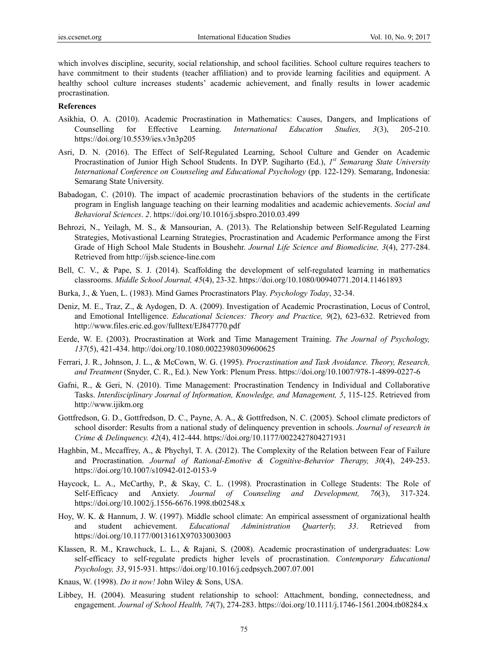which involves discipline, security, social relationship, and school facilities. School culture requires teachers to have commitment to their students (teacher affiliation) and to provide learning facilities and equipment. A healthy school culture increases students' academic achievement, and finally results in lower academic procrastination.

#### **References**

- Asikhia, O. A. (2010). Academic Procrastination in Mathematics: Causes, Dangers, and Implications of Counselling for Effective Learning. *International Education Studies, 3*(3), 205-210. https://doi.org/10.5539/ies.v3n3p205
- Asri, D. N. (2016). The Effect of Self-Regulated Learning, School Culture and Gender on Academic Procrastination of Junior High School Students. In DYP. Sugiharto (Ed.), *1st Semarang State University International Conference on Counseling and Educational Psychology* (pp. 122-129). Semarang, Indonesia: Semarang State University.
- Babadogan, C. (2010). The impact of academic procrastination behaviors of the students in the certificate program in English language teaching on their learning modalities and academic achievements. *Social and Behavioral Sciences*. *2*. https://doi.org/10.1016/j.sbspro.2010.03.499
- Behrozi, N., Yeilagh, M. S., & Mansourian, A. (2013). The Relationship between Self-Regulated Learning Strategies, Motivastional Learning Strategies, Procrastination and Academic Performance among the First Grade of High School Male Students in Boushehr. *Journal Life Science and Biomedicine, 3*(4), 277-284. Retrieved from http://ijsb.science-line.com
- Bell, C. V., & Pape, S. J. (2014). Scaffolding the development of self-regulated learning in mathematics classrooms. *Middle School Journal, 45*(4), 23-32. https://doi.org/10.1080/00940771.2014.11461893
- Burka, J., & Yuen, L. (1983). Mind Games Procrastinators Play. *Psychology Today*, 32-34.
- Deniz, M. E., Traz, Z., & Aydogen, D. A. (2009). Investigation of Academic Procrastination, Locus of Control, and Emotional Intelligence. *Educational Sciences: Theory and Practice, 9*(2), 623-632. Retrieved from http://www.files.eric.ed.gov/fulltext/EJ847770.pdf
- Eerde, W. E. (2003). Procrastination at Work and Time Management Training. *The Journal of Psychology, 137*(5), 421-434. http://doi.org/10.1080.00223980309600625
- Ferrari, J. R., Johnson, J. L., & McCown, W. G. (1995). *Procrastination and Task Avoidance. Theory, Research, and Treatment* (Snyder, C. R., Ed.). New York: Plenum Press. https://doi.org/10.1007/978-1-4899-0227-6
- Gafni, R., & Geri, N. (2010). Time Management: Procrastination Tendency in Individual and Collaborative Tasks. *Interdisciplinary Journal of Information, Knowledge, and Management, 5*, 115-125. Retrieved from http://www.ijikm.org
- Gottfredson, G. D., Gottfredson, D. C., Payne, A. A., & Gottfredson, N. C. (2005). School climate predictors of school disorder: Results from a national study of delinquency prevention in schools. *Journal of research in Crime & Delinquency. 42*(4), 412-444. https://doi.org/10.1177/0022427804271931
- Haghbin, M., Mccaffrey, A., & Phychyl, T. A. (2012). The Complexity of the Relation between Fear of Failure and Procrastination. *Journal of Rational-Emotive & Cognitive-Behavior Therapy, 30*(4), 249-253. https://doi.org/10.1007/s10942-012-0153-9
- Haycock, L. A., McCarthy, P., & Skay, C. L. (1998). Procrastination in College Students: The Role of Self-Efficacy and Anxiety. *Journal of Counseling and Development, 76*(3), 317-324. https://doi.org/10.1002/j.1556-6676.1998.tb02548.x
- Hoy, W. K. & Hannum, J. W. (1997). Middle school climate: An empirical assessment of organizational health and student achievement. *Educational Administration Quarterly, 33*. Retrieved from https://doi.org/10.1177/0013161X97033003003
- Klassen, R. M., Krawchuck, L. L., & Rajani, S. (2008). Academic procrastination of undergraduates: Low self-efficacy to self-regulate predicts higher levels of procrastination. *Contemporary Educational Psychology, 33*, 915-931. https://doi.org/10.1016/j.cedpsych.2007.07.001
- Knaus, W. (1998). *Do it now!* John Wiley & Sons, USA.
- Libbey, H. (2004). Measuring student relationship to school: Attachment, bonding, connectedness, and engagement. *Journal of School Health, 74*(7), 274-283. https://doi.org/10.1111/j.1746-1561.2004.tb08284.x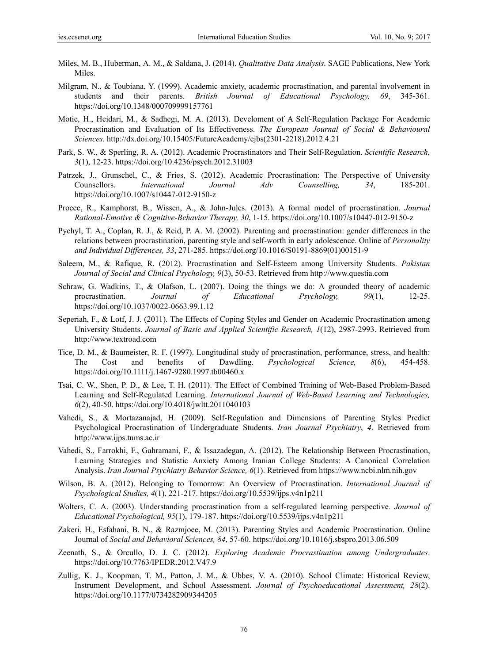- Miles, M. B., Huberman, A. M., & Saldana, J. (2014). *Qualitative Data Analysis*. SAGE Publications, New York Miles.
- Milgram, N., & Toubiana, Y. (1999). Academic anxiety, academic procrastination, and parental involvement in students and their parents. *British Journal of Educational Psychology, 69*, 345-361. https://doi.org/10.1348/000709999157761
- Motie, H., Heidari, M., & Sadhegi, M. A. (2013). Develoment of A Self-Regulation Package For Academic Procrastination and Evaluation of Its Effectiveness. *The European Journal of Social & Behavioural Sciences*. http://dx.doi.org/10.15405/FutureAcademy/ejbs(2301-2218).2012.4.21
- Park, S. W., & Sperling, R. A. (2012). Academic Procrastinators and Their Self-Regulation. *Scientific Research, 3*(1), 12-23. https://doi.org/10.4236/psych.2012.31003
- Patrzek, J., Grunschel, C., & Fries, S. (2012). Academic Procrastination: The Perspective of University Counsellors. *International Journal Adv Counselling, 34*, 185-201. https://doi.org/10.1007/s10447-012-9150-z
- Procee, R., Kamphorst, B., Wissen, A., & John-Jules. (2013). A formal model of procrastination. *Journal Rational-Emotive & Cognitive-Behavior Therapy, 30*, 1-15. https://doi.org/10.1007/s10447-012-9150-z
- Pychyl, T. A., Coplan, R. J., & Reid, P. A. M. (2002). Parenting and procrastination: gender differences in the relations between procrastination, parenting style and self-worth in early adolescence. Online of *Personality and Individual Differences, 33*, 271-285. https://doi.org/10.1016/S0191-8869(01)00151-9
- Saleem, M., & Rafique, R. (2012). Procrastination and Self-Esteem among University Students. *Pakistan Journal of Social and Clinical Psychology, 9*(3), 50-53. Retrieved from http://www.questia.com
- Schraw, G. Wadkins, T., & Olafson, L. (2007). Doing the things we do: A grounded theory of academic procrastination. *Journal of Educational Psychology, 99*(1), 12-25. https://doi.org/10.1037/0022-0663.99.1.12
- Seperiah, F., & Lotf, J. J. (2011). The Effects of Coping Styles and Gender on Academic Procrastination among University Students. *Journal of Basic and Applied Scientific Research, 1*(12), 2987-2993. Retrieved from http://www.textroad.com
- Tice, D. M., & Baumeister, R. F. (1997). Longitudinal study of procrastination, performance, stress, and health: The Cost and benefits of Dawdling. *Psychological Science, 8*(6), 454-458. https://doi.org/10.1111/j.1467-9280.1997.tb00460.x
- Tsai, C. W., Shen, P. D., & Lee, T. H. (2011). The Effect of Combined Training of Web-Based Problem-Based Learning and Self-Regulated Learning. *International Journal of Web-Based Learning and Technologies, 6*(2), 40-50. https://doi.org/10.4018/jwltt.2011040103
- Vahedi, S., & Mortazanajad, H. (2009). Self-Regulation and Dimensions of Parenting Styles Predict Psychological Procrastination of Undergraduate Students. *Iran Journal Psychiatry*, *4*. Retrieved from http://www.ijps.tums.ac.ir
- Vahedi, S., Farrokhi, F., Gahramani, F., & Issazadegan, A. (2012). The Relationship Between Procrastination, Learning Strategies and Statistic Anxiety Among Iranian College Students: A Canonical Correlation Analysis. *Iran Journal Psychiatry Behavior Science, 6*(1). Retrieved from https://www.ncbi.nlm.nih.gov
- Wilson, B. A. (2012). Belonging to Tomorrow: An Overview of Procrastination. *International Journal of Psychological Studies, 4*(1), 221-217. https://doi.org/10.5539/ijps.v4n1p211
- Wolters, C. A. (2003). Understanding procrastination from a self-regulated learning perspective. *Journal of Educational Psychological, 95*(1), 179-187. https://doi.org/10.5539/ijps.v4n1p211
- Zakeri, H., Esfahani, B. N., & Razmjoee, M. (2013). Parenting Styles and Academic Procrastination. Online Journal of *Social and Behavioral Sciences, 84*, 57-60. https://doi.org/10.1016/j.sbspro.2013.06.509
- Zeenath, S., & Orcullo, D. J. C. (2012). *Exploring Academic Procrastination among Undergraduates*. https://doi.org/10.7763/IPEDR.2012.V47.9
- Zullig, K. J., Koopman, T. M., Patton, J. M., & Ubbes, V. A. (2010). School Climate: Historical Review, Instrument Development, and School Assessment. *Journal of Psychoeducational Assessment, 28*(2). https://doi.org/10.1177/0734282909344205